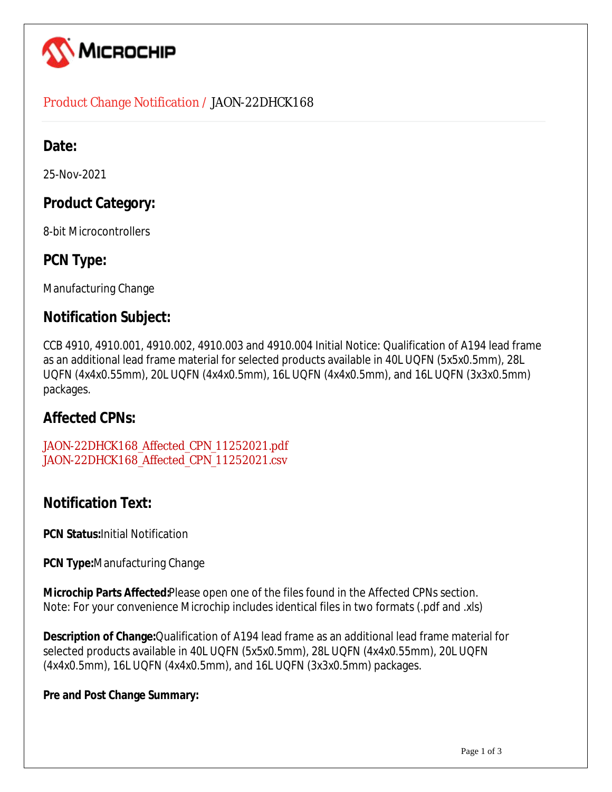

## Product Change Notification / JAON-22DHCK168

## **Date:**

25-Nov-2021

## **Product Category:**

8-bit Microcontrollers

## **PCN Type:**

Manufacturing Change

## **Notification Subject:**

CCB 4910, 4910.001, 4910.002, 4910.003 and 4910.004 Initial Notice: Qualification of A194 lead frame as an additional lead frame material for selected products available in 40L UQFN (5x5x0.5mm), 28L UQFN (4x4x0.55mm), 20L UQFN (4x4x0.5mm), 16L UQFN (4x4x0.5mm), and 16L UQFN (3x3x0.5mm) packages.

## **Affected CPNs:**

JAON-22DHCK168\_Affected\_CPN\_11252021.pdf JAON-22DHCK168\_Affected\_CPN\_11252021.csv

## **Notification Text:**

**PCN Status:**Initial Notification

**PCN Type:**Manufacturing Change

**Microchip Parts Affected:**Please open one of the files found in the Affected CPNs section. Note: For your convenience Microchip includes identical files in two formats (.pdf and .xls)

**Description of Change:**Qualification of A194 lead frame as an additional lead frame material for selected products available in 40L UQFN (5x5x0.5mm), 28L UQFN (4x4x0.55mm), 20L UQFN (4x4x0.5mm), 16L UQFN (4x4x0.5mm), and 16L UQFN (3x3x0.5mm) packages.

#### **Pre and Post Change Summary:**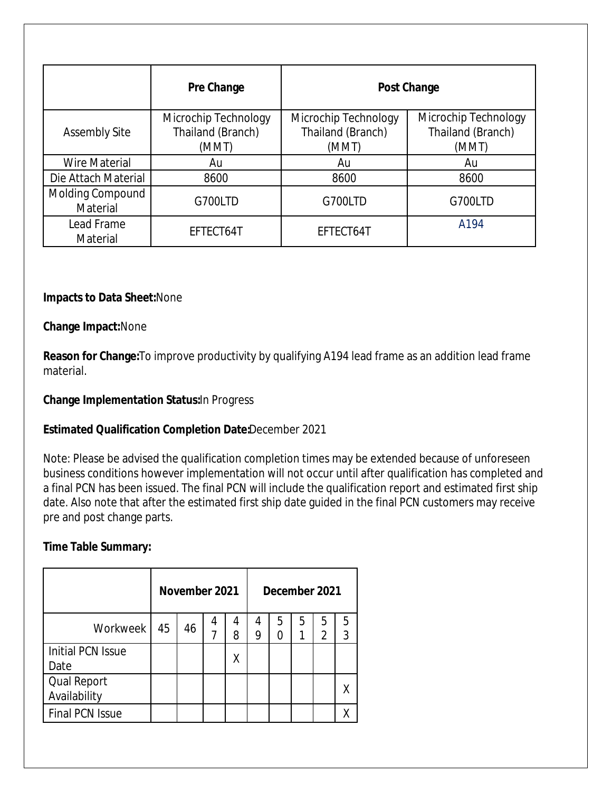|                              | Pre Change                                         | <b>Post Change</b>                                 |                                                    |  |  |  |  |
|------------------------------|----------------------------------------------------|----------------------------------------------------|----------------------------------------------------|--|--|--|--|
| <b>Assembly Site</b>         | Microchip Technology<br>Thailand (Branch)<br>(MMT) | Microchip Technology<br>Thailand (Branch)<br>(MMT) | Microchip Technology<br>Thailand (Branch)<br>(MMT) |  |  |  |  |
| <b>Wire Material</b>         | Au                                                 | Au                                                 | Au                                                 |  |  |  |  |
| Die Attach Material          | 8600                                               | 8600                                               | 8600                                               |  |  |  |  |
| Molding Compound<br>Material | G700LTD                                            | G700LTD                                            | G700LTD                                            |  |  |  |  |
| Lead Frame<br>Material       | EFTECT64T                                          | EFTECT64T                                          | A194                                               |  |  |  |  |

#### **Impacts to Data Sheet:**None

#### **Change Impact:**None

**Reason for Change:**To improve productivity by qualifying A194 lead frame as an addition lead frame material.

#### **Change Implementation Status:**In Progress

#### **Estimated Qualification Completion Date:**December 2021

Note: Please be advised the qualification completion times may be extended because of unforeseen business conditions however implementation will not occur until after qualification has completed and a final PCN has been issued. The final PCN will include the qualification report and estimated first ship date. Also note that after the estimated first ship date guided in the final PCN customers may receive pre and post change parts.

#### **Time Table Summary:**

|                             | November 2021 | December 2021 |   |        |        |        |        |                     |        |
|-----------------------------|---------------|---------------|---|--------|--------|--------|--------|---------------------|--------|
| Workweek                    | 45            | 46            | 4 | 4<br>8 | 4<br>9 | 5<br>N | 5<br>1 | 5<br>$\mathfrak{D}$ | 5<br>3 |
| Initial PCN Issue<br>Date   |               |               |   | Χ      |        |        |        |                     |        |
| Qual Report<br>Availability |               |               |   |        |        |        |        |                     |        |
| <b>Final PCN Issue</b>      |               |               |   |        |        |        |        |                     |        |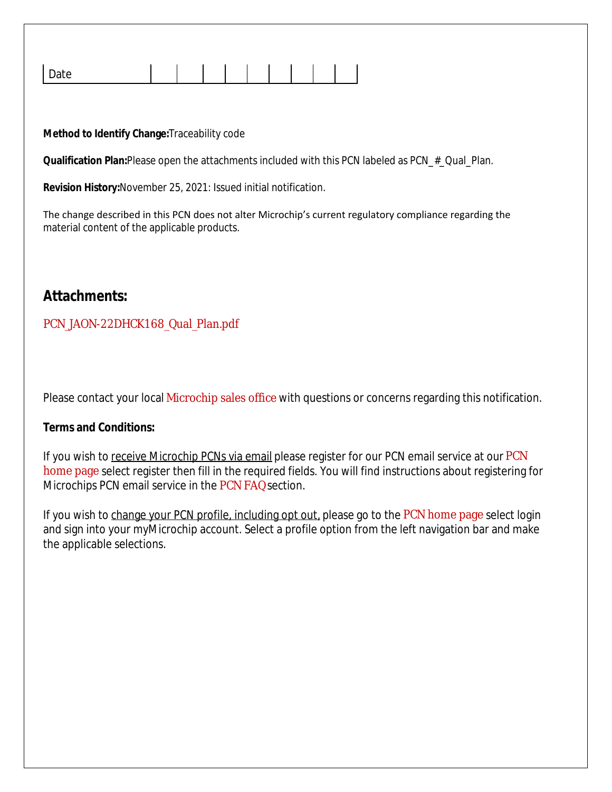# Date

#### **Method to Identify Change:**Traceability code

**Qualification Plan:**Please open the attachments included with this PCN labeled as PCN # Qual Plan.

**Revision History:**November 25, 2021: Issued initial notification.

The change described in this PCN does not alter Microchip's current regulatory compliance regarding the material content of the applicable products.

## **Attachments:**

#### PCN\_JAON-22DHCK168\_Qual\_Plan.pdf

Please contact your local Microchip sales office with questions or concerns regarding this notification.

#### **Terms and Conditions:**

If you wish to receive Microchip PCNs via email please register for our PCN email service at our PCN home page select register then fill in the required fields. You will find instructions about registering for Microchips PCN email service in the PCN FAQ section.

If you wish to change your PCN profile, including opt out, please go to the PCN home page select login and sign into your myMicrochip account. Select a profile option from the left navigation bar and make the applicable selections.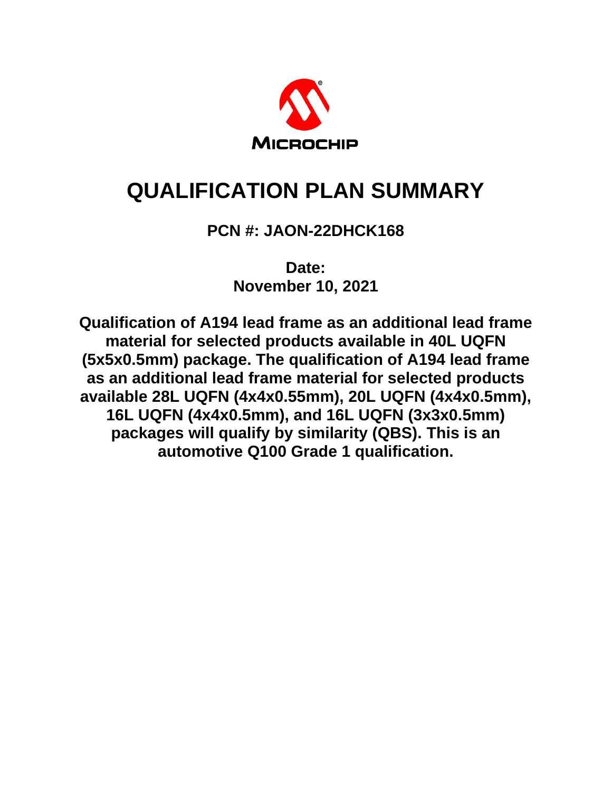

## **QUALIFICATION PLAN SUMMARY**

## **PCN #: JAON-22DHCK168**

**Date: November 10, 2021**

**Qualification of A194 lead frame as an additional lead frame material for selected products available in 40L UQFN (5x5x0.5mm) package. The qualification of A194 lead frame as an additional lead frame material for selected products available 28L UQFN (4x4x0.55mm), 20L UQFN (4x4x0.5mm), 16L UQFN (4x4x0.5mm), and 16L UQFN (3x3x0.5mm) packages will qualify by similarity (QBS). This is an automotive Q100 Grade 1 qualification.**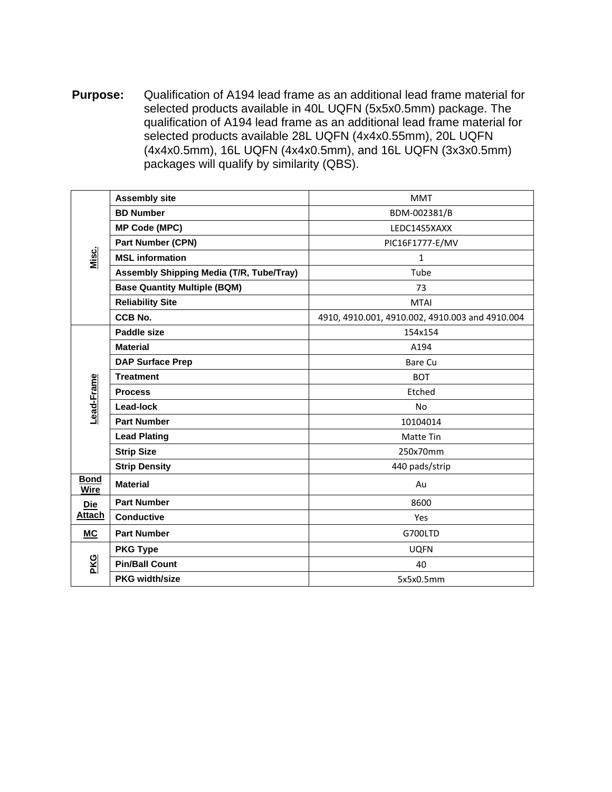**Purpose:** Qualification of A194 lead frame as an additional lead frame material for selected products available in 40L UQFN (5x5x0.5mm) package. The qualification of A194 lead frame as an additional lead frame material for selected products available 28L UQFN (4x4x0.55mm), 20L UQFN (4x4x0.5mm), 16L UQFN (4x4x0.5mm), and 16L UQFN (3x3x0.5mm) packages will qualify by similarity (QBS).

| Misc.                      | <b>Assembly site</b>                            | <b>MMT</b>                                      |  |  |  |  |  |  |
|----------------------------|-------------------------------------------------|-------------------------------------------------|--|--|--|--|--|--|
|                            | <b>BD Number</b>                                | BDM-002381/B                                    |  |  |  |  |  |  |
|                            | <b>MP Code (MPC)</b>                            | LEDC14S5XAXX                                    |  |  |  |  |  |  |
|                            | <b>Part Number (CPN)</b>                        | PIC16F1777-E/MV                                 |  |  |  |  |  |  |
|                            | <b>MSL</b> information                          | $\mathbf{1}$                                    |  |  |  |  |  |  |
|                            | <b>Assembly Shipping Media (T/R, Tube/Tray)</b> | Tube                                            |  |  |  |  |  |  |
|                            | <b>Base Quantity Multiple (BQM)</b>             | 73                                              |  |  |  |  |  |  |
|                            | <b>Reliability Site</b>                         | <b>MTAI</b>                                     |  |  |  |  |  |  |
|                            | <b>CCB No.</b>                                  | 4910, 4910.001, 4910.002, 4910.003 and 4910.004 |  |  |  |  |  |  |
| Lead-Frame                 | Paddle size                                     | 154x154                                         |  |  |  |  |  |  |
|                            | <b>Material</b>                                 | A194                                            |  |  |  |  |  |  |
|                            | <b>DAP Surface Prep</b>                         | <b>Bare Cu</b>                                  |  |  |  |  |  |  |
|                            | <b>Treatment</b>                                | <b>BOT</b>                                      |  |  |  |  |  |  |
|                            | <b>Process</b>                                  | Etched                                          |  |  |  |  |  |  |
|                            | Lead-lock                                       | <b>No</b>                                       |  |  |  |  |  |  |
|                            | <b>Part Number</b>                              | 10104014                                        |  |  |  |  |  |  |
|                            | <b>Lead Plating</b>                             | <b>Matte Tin</b>                                |  |  |  |  |  |  |
|                            | <b>Strip Size</b>                               | 250x70mm                                        |  |  |  |  |  |  |
|                            | <b>Strip Density</b>                            | 440 pads/strip                                  |  |  |  |  |  |  |
| <b>Bond</b><br><b>Wire</b> | <b>Material</b>                                 | Au                                              |  |  |  |  |  |  |
| <b>Die</b>                 | <b>Part Number</b>                              | 8600                                            |  |  |  |  |  |  |
| <b>Attach</b>              | <b>Conductive</b>                               | <b>Yes</b>                                      |  |  |  |  |  |  |
| <b>MC</b>                  | <b>Part Number</b>                              | G700LTD                                         |  |  |  |  |  |  |
| PKG                        | <b>PKG Type</b>                                 | <b>UQFN</b>                                     |  |  |  |  |  |  |
|                            | <b>Pin/Ball Count</b>                           | 40                                              |  |  |  |  |  |  |
|                            | <b>PKG width/size</b>                           | 5x5x0.5mm                                       |  |  |  |  |  |  |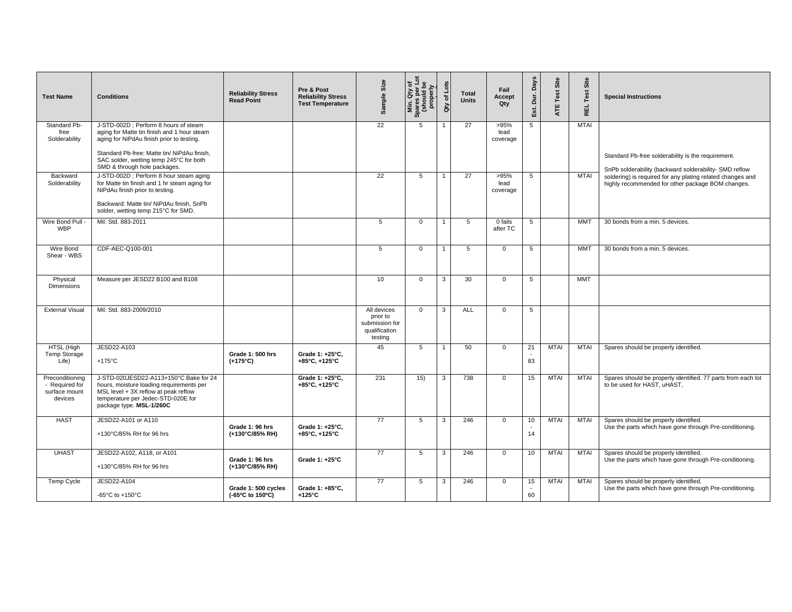| <b>Test Name</b>                                              | <b>Conditions</b>                                                                                                                                                                                                                             | <b>Reliability Stress</b><br><b>Read Point</b> | Pre & Post<br><b>Reliability Stress</b><br><b>Test Temperature</b> | Sample Size                                                           | $5\frac{5}{5}$<br>ares per Lo<br>should be<br>properly<br>$\tilde{\vec{a}}$<br>Min. C<br>Spares<br>(shou | Lots<br>$\overline{\sigma}$<br>đη | <b>Total</b><br><b>Units</b> | Fail<br>Accept<br>Qtv    | Days<br>Dur.<br>Est.                 | Site<br>ATE Test | Site<br>REL Test | <b>Special Instructions</b>                                                                                                                                               |
|---------------------------------------------------------------|-----------------------------------------------------------------------------------------------------------------------------------------------------------------------------------------------------------------------------------------------|------------------------------------------------|--------------------------------------------------------------------|-----------------------------------------------------------------------|----------------------------------------------------------------------------------------------------------|-----------------------------------|------------------------------|--------------------------|--------------------------------------|------------------|------------------|---------------------------------------------------------------------------------------------------------------------------------------------------------------------------|
| Standard Pb-<br>free<br>Solderability                         | J-STD-002D : Perform 8 hours of steam<br>aging for Matte tin finish and 1 hour steam<br>aging for NiPdAu finish prior to testing.<br>Standard Pb-free: Matte tin/ NiPdAu finish.<br>SAC solder, wetting temp 245°C for both                   |                                                |                                                                    | 22                                                                    | -5                                                                                                       | -1                                | 27                           | >95%<br>lead<br>coverage | 5                                    |                  | <b>MTAI</b>      | Standard Pb-free solderability is the requirement.                                                                                                                        |
| Backward<br>Solderability                                     | SMD & through hole packages.<br>J-STD-002D; Perform 8 hour steam aging<br>for Matte tin finish and 1 hr steam aging for<br>NiPdAu finish prior to testing.<br>Backward: Matte tin/ NiPdAu finish, SnPb<br>solder, wetting temp 215°C for SMD. |                                                |                                                                    | 22                                                                    | $5^{\circ}$                                                                                              | $\overline{1}$                    | 27                           | >95%<br>lead<br>coverage | 5                                    |                  | <b>MTAI</b>      | SnPb solderability (backward solderability- SMD reflow<br>soldering) is required for any plating related changes and<br>highly recommended for other package BOM changes. |
| Wire Bond Pull<br><b>WBP</b>                                  | Mil. Std. 883-2011                                                                                                                                                                                                                            |                                                |                                                                    | 5                                                                     | $\mathbf 0$                                                                                              |                                   | 5                            | 0 fails<br>after TC      | 5                                    |                  | <b>MMT</b>       | 30 bonds from a min. 5 devices.                                                                                                                                           |
| Wire Bond<br>Shear - WBS                                      | CDF-AEC-Q100-001                                                                                                                                                                                                                              |                                                |                                                                    | 5                                                                     | $\mathbf 0$                                                                                              | $\overline{1}$                    | 5                            | $\mathbf 0$              | 5                                    |                  | <b>MMT</b>       | 30 bonds from a min. 5 devices.                                                                                                                                           |
| Physical<br><b>Dimensions</b>                                 | Measure per JESD22 B100 and B108                                                                                                                                                                                                              |                                                |                                                                    | 10                                                                    | $\mathbf 0$                                                                                              | 3                                 | 30                           | $\mathbf{0}$             | 5                                    |                  | <b>MMT</b>       |                                                                                                                                                                           |
| <b>External Visual</b>                                        | Mil. Std. 883-2009/2010                                                                                                                                                                                                                       |                                                |                                                                    | All devices<br>prior to<br>submission for<br>qualification<br>testing | $\mathbf 0$                                                                                              | 3                                 | <b>ALL</b>                   | $\mathbf{0}$             | 5                                    |                  |                  |                                                                                                                                                                           |
| HTSL (High<br>Temp Storage<br>Life)                           | JESD22-A103<br>$+175^{\circ}$ C                                                                                                                                                                                                               | Grade 1: 500 hrs<br>$(+175^{\circ}C)$          | Grade 1: +25°C,<br>+85°C, +125°C                                   | 45                                                                    | 5                                                                                                        | -1                                | 50                           | $\mathbf 0$              | 21<br>$\overline{\phantom{a}}$<br>83 | <b>MTAI</b>      | <b>MTAI</b>      | Spares should be properly identified.                                                                                                                                     |
| Preconditioning<br>- Required for<br>surface mount<br>devices | J-STD-020JESD22-A113+150°C Bake for 24<br>hours, moisture loading requirements per<br>MSL level + 3X reflow at peak reflow<br>temperature per Jedec-STD-020E for<br>package type. MSL-1/260C                                                  |                                                | Grade 1: +25°C,<br>+85°C, +125°C                                   | 231                                                                   | 15)                                                                                                      | $\mathbf{3}$                      | 738                          | $\Omega$                 | 15                                   | <b>MTAI</b>      | <b>MTAI</b>      | Spares should be properly identified. 77 parts from each lot<br>to be used for HAST, uHAST.                                                                               |
| <b>HAST</b>                                                   | JESD22-A101 or A110<br>+130°C/85% RH for 96 hrs                                                                                                                                                                                               | Grade 1: 96 hrs<br>(+130°C/85% RH)             | Grade 1: +25°C,<br>+85°C, +125°C                                   | 77                                                                    | 5                                                                                                        | $\mathbf{3}$                      | 246                          | $\Omega$                 | 10<br>$\overline{\phantom{a}}$<br>14 | <b>MTAI</b>      | <b>MTAI</b>      | Spares should be properly identified.<br>Use the parts which have gone through Pre-conditioning.                                                                          |
| <b>UHAST</b>                                                  | JESD22-A102, A118, or A101<br>+130°C/85% RH for 96 hrs                                                                                                                                                                                        | Grade 1: 96 hrs<br>(+130°C/85% RH)             | Grade 1: $+25^{\circ}$ C                                           | 77                                                                    | 5                                                                                                        | 3                                 | 246                          | $\mathbf 0$              | 10                                   | <b>MTAI</b>      | <b>MTAI</b>      | Spares should be properly identified.<br>Use the parts which have gone through Pre-conditioning.                                                                          |
| Temp Cycle                                                    | JESD22-A104<br>-65°C to +150°C                                                                                                                                                                                                                | Grade 1: 500 cycles<br>(-65°C to 150°C)        | Grade 1: +85°C,<br>$+125^{\circ}$ C                                | 77                                                                    | 5                                                                                                        | 3                                 | 246                          | $\Omega$                 | 15<br>60                             | <b>MTAI</b>      | <b>MTAI</b>      | Spares should be properly identified.<br>Use the parts which have gone through Pre-conditioning.                                                                          |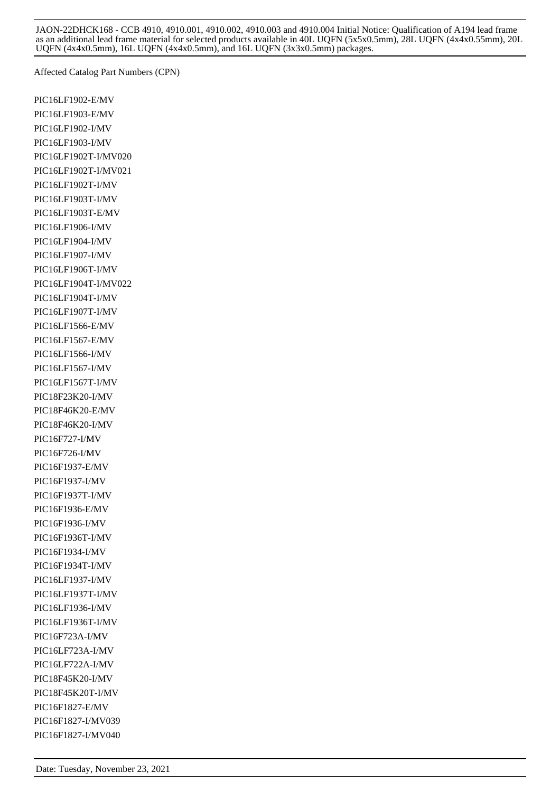Affected Catalog Part Numbers (CPN)

PIC16LF1902-E/MV PIC16LF1903-E/MV PIC16LF1902-I/MV PIC16LF1903-I/MV PIC16LF1902T-I/MV020 PIC16LF1902T-I/MV021 PIC16LF1902T-I/MV PIC16LF1903T-I/MV PIC16LF1903T-E/MV PIC16LF1906-I/MV PIC16LF1904-I/MV PIC16LF1907-I/MV PIC16LF1906T-I/MV PIC16LF1904T-I/MV022 PIC16LF1904T-I/MV PIC16LF1907T-I/MV PIC16LF1566-E/MV PIC16LF1567-E/MV PIC16LF1566-I/MV PIC16LF1567-I/MV PIC16LF1567T-I/MV PIC18F23K20-I/MV PIC18F46K20-E/MV PIC18F46K20-I/MV PIC16F727-I/MV PIC16F726-I/MV PIC16F1937-E/MV PIC16F1937-I/MV PIC16F1937T-I/MV PIC16F1936-E/MV PIC16F1936-I/MV PIC16F1936T-I/MV PIC16F1934-I/MV PIC16F1934T-I/MV PIC16LF1937-I/MV PIC16LF1937T-I/MV PIC16LF1936-I/MV PIC16LF1936T-I/MV PIC16F723A-I/MV PIC16LF723A-I/MV PIC16LF722A-I/MV PIC18F45K20-I/MV PIC18F45K20T-I/MV PIC16F1827-E/MV PIC16F1827-I/MV039 PIC16F1827-I/MV040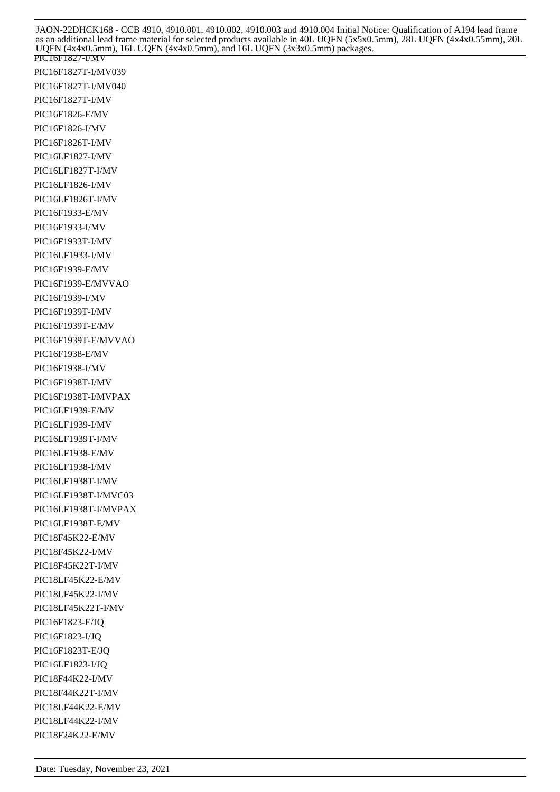PIC16F1827-I/MV PIC16F1827T-I/MV039 PIC16F1827T-I/MV040 PIC16F1827T-I/MV PIC16F1826-E/MV PIC16F1826-I/MV PIC16F1826T-I/MV PIC16LF1827-I/MV PIC16LF1827T-I/MV PIC16LF1826-I/MV PIC16LF1826T-I/MV PIC16F1933-E/MV PIC16F1933-I/MV PIC16F1933T-I/MV PIC16LF1933-I/MV PIC16F1939-E/MV PIC16F1939-E/MVVAO PIC16F1939-I/MV PIC16F1939T-I/MV PIC16F1939T-E/MV PIC16F1939T-E/MVVAO PIC16F1938-E/MV PIC16F1938-I/MV PIC16F1938T-I/MV PIC16F1938T-I/MVPAX PIC16LF1939-E/MV PIC16LF1939-I/MV PIC16LF1939T-I/MV PIC16LF1938-E/MV PIC16LF1938-I/MV PIC16LF1938T-I/MV PIC16LF1938T-I/MVC03 PIC16LF1938T-I/MVPAX PIC16LF1938T-E/MV PIC18F45K22-E/MV PIC18F45K22-I/MV PIC18F45K22T-I/MV PIC18LF45K22-E/MV PIC18LF45K22-I/MV PIC18LF45K22T-I/MV PIC16F1823-E/JQ PIC16F1823-I/JQ PIC16F1823T-E/JQ PIC16LF1823-I/JQ PIC18F44K22-I/MV PIC18F44K22T-I/MV PIC18LF44K22-E/MV PIC18LF44K22-I/MV PIC18F24K22-E/MV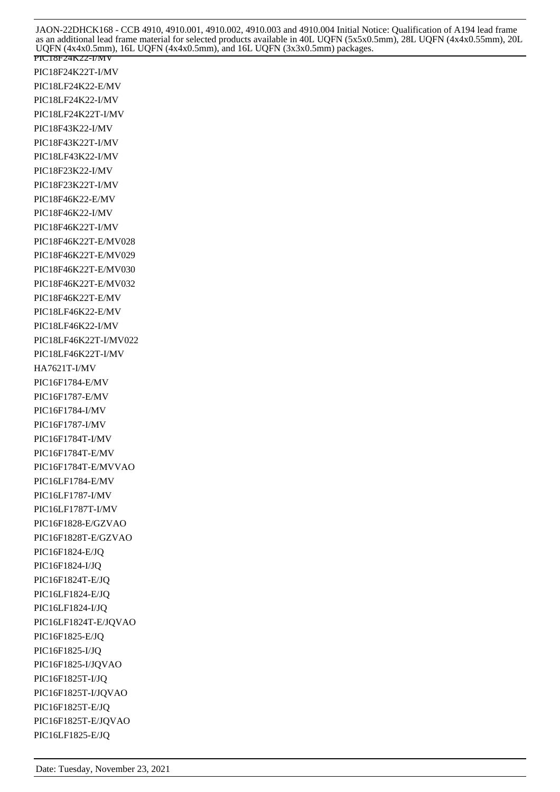PIC18F24K22-I/MV PIC18F24K22T-I/MV PIC18LF24K22-E/MV PIC18LF24K22-I/MV PIC18LF24K22T-I/MV PIC18F43K22-I/MV PIC18F43K22T-I/MV PIC18LF43K22-I/MV PIC18F23K22-I/MV PIC18F23K22T-I/MV PIC18F46K22-E/MV PIC18F46K22-I/MV PIC18F46K22T-I/MV PIC18F46K22T-E/MV028 PIC18F46K22T-E/MV029 PIC18F46K22T-E/MV030 PIC18F46K22T-E/MV032 PIC18F46K22T-E/MV PIC18LF46K22-E/MV PIC18LF46K22-I/MV PIC18LF46K22T-I/MV022 PIC18LF46K22T-I/MV HA7621T-I/MV PIC16F1784-E/MV PIC16F1787-E/MV PIC16F1784-I/MV PIC16F1787-I/MV PIC16F1784T-I/MV PIC16F1784T-E/MV PIC16F1784T-E/MVVAO PIC16LF1784-E/MV PIC16LF1787-I/MV PIC16LF1787T-I/MV PIC16F1828-E/GZVAO PIC16F1828T-E/GZVAO PIC16F1824-E/JQ PIC16F1824-I/JQ PIC16F1824T-E/JQ PIC16LF1824-E/JQ PIC16LF1824-I/JQ PIC16LF1824T-E/JQVAO PIC16F1825-E/JQ PIC16F1825-I/JQ PIC16F1825-I/JQVAO PIC16F1825T-I/JQ PIC16F1825T-I/JQVAO PIC16F1825T-E/JQ PIC16F1825T-E/JQVAO PIC16LF1825-E/JQ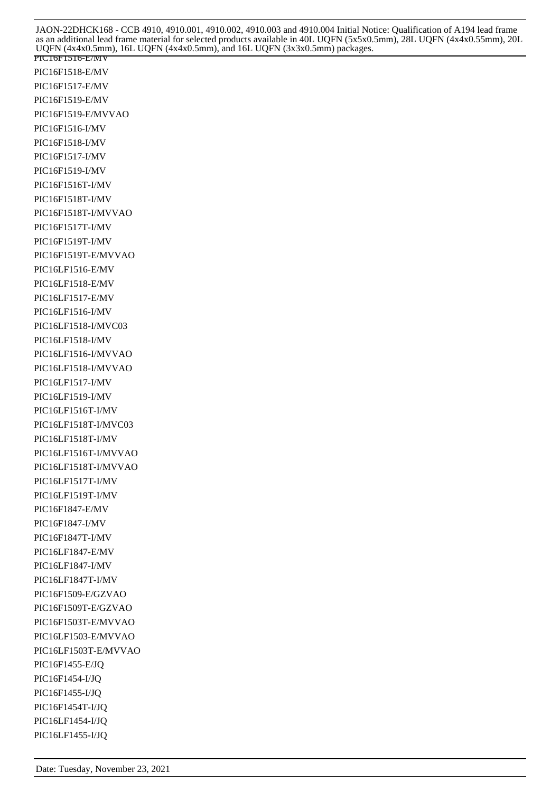PIC16F1516-E/MV PIC16F1518-E/MV PIC16F1517-E/MV PIC16F1519-E/MV PIC16F1519-E/MVVAO PIC16F1516-I/MV PIC16F1518-I/MV PIC16F1517-I/MV PIC16F1519-I/MV PIC16F1516T-I/MV PIC16F1518T-I/MV PIC16F1518T-I/MVVAO PIC16F1517T-I/MV PIC16F1519T-I/MV PIC16F1519T-E/MVVAO PIC16LF1516-E/MV PIC16LF1518-E/MV PIC16LF1517-E/MV PIC16LF1516-I/MV PIC16LF1518-I/MVC03 PIC16LF1518-I/MV PIC16LF1516-I/MVVAO PIC16LF1518-I/MVVAO PIC16LF1517-I/MV PIC16LF1519-I/MV PIC16LF1516T-I/MV PIC16LF1518T-I/MVC03 PIC16LF1518T-I/MV PIC16LF1516T-I/MVVAO PIC16LF1518T-I/MVVAO PIC16LF1517T-I/MV PIC16LF1519T-I/MV PIC16F1847-E/MV PIC16F1847-I/MV PIC16F1847T-I/MV PIC16LF1847-E/MV PIC16LF1847-I/MV PIC16LF1847T-I/MV PIC16F1509-E/GZVAO PIC16F1509T-E/GZVAO PIC16F1503T-E/MVVAO PIC16LF1503-E/MVVAO PIC16LF1503T-E/MVVAO PIC16F1455-E/JQ PIC16F1454-I/JQ PIC16F1455-I/JQ PIC16F1454T-I/JQ PIC16LF1454-I/JQ PIC16LF1455-I/JQ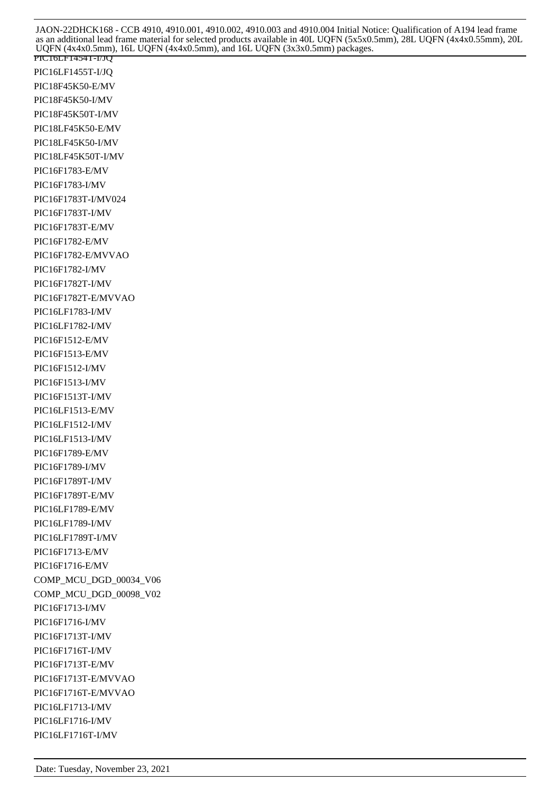PIC16LF1454T-I/JQ PIC16LF1455T-I/JQ PIC18F45K50-E/MV PIC18F45K50-I/MV PIC18F45K50T-I/MV PIC18LF45K50-E/MV PIC18LF45K50-I/MV PIC18LF45K50T-I/MV PIC16F1783-E/MV PIC16F1783-I/MV PIC16F1783T-I/MV024 PIC16F1783T-I/MV PIC16F1783T-E/MV PIC16F1782-E/MV PIC16F1782-E/MVVAO PIC16F1782-I/MV PIC16F1782T-I/MV PIC16F1782T-E/MVVAO PIC16LF1783-I/MV PIC16LF1782-I/MV PIC16F1512-E/MV PIC16F1513-E/MV PIC16F1512-I/MV PIC16F1513-I/MV PIC16F1513T-I/MV PIC16LF1513-E/MV PIC16LF1512-I/MV PIC16LF1513-I/MV PIC16F1789-E/MV PIC16F1789-I/MV PIC16F1789T-I/MV PIC16F1789T-E/MV PIC16LF1789-E/MV PIC16LF1789-I/MV PIC16LF1789T-I/MV PIC16F1713-E/MV PIC16F1716-E/MV COMP\_MCU\_DGD\_00034\_V06 COMP\_MCU\_DGD\_00098\_V02 PIC16F1713-I/MV PIC16F1716-I/MV PIC16F1713T-I/MV PIC16F1716T-I/MV PIC16F1713T-E/MV PIC16F1713T-E/MVVAO PIC16F1716T-E/MVVAO PIC16LF1713-I/MV PIC16LF1716-I/MV PIC16LF1716T-I/MV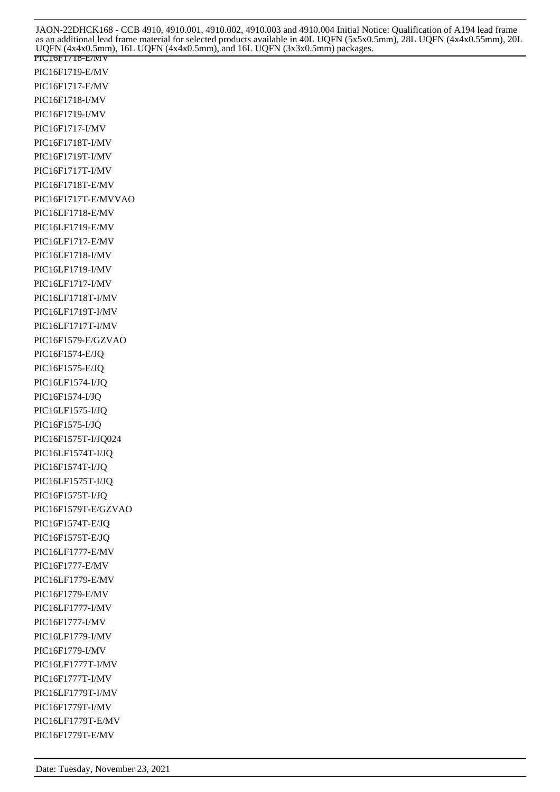PIC16F1718-E/MV PIC16F1719-E/MV PIC16F1717-E/MV PIC16F1718-I/MV PIC16F1719-I/MV PIC16F1717-I/MV PIC16F1718T-I/MV PIC16F1719T-I/MV PIC16F1717T-I/MV PIC16F1718T-E/MV PIC16F1717T-E/MVVAO PIC16LF1718-E/MV PIC16LF1719-E/MV PIC16LF1717-E/MV PIC16LF1718-I/MV PIC16LF1719-I/MV PIC16LF1717-I/MV PIC16LF1718T-I/MV PIC16LF1719T-I/MV PIC16LF1717T-I/MV PIC16F1579-E/GZVAO PIC16F1574-E/JQ PIC16F1575-E/JQ PIC16LF1574-I/JQ PIC16F1574-I/JQ PIC16LF1575-I/JQ PIC16F1575-I/JQ PIC16F1575T-I/JQ024 PIC16LF1574T-I/JQ PIC16F1574T-I/JQ PIC16LF1575T-I/JQ PIC16F1575T-I/JQ PIC16F1579T-E/GZVAO PIC16F1574T-E/JQ PIC16F1575T-E/JQ PIC16LF1777-E/MV PIC16F1777-E/MV PIC16LF1779-E/MV PIC16F1779-E/MV PIC16LF1777-I/MV PIC16F1777-I/MV PIC16LF1779-I/MV PIC16F1779-I/MV PIC16LF1777T-I/MV PIC16F1777T-I/MV PIC16LF1779T-I/MV PIC16F1779T-I/MV PIC16LF1779T-E/MV PIC16F1779T-E/MV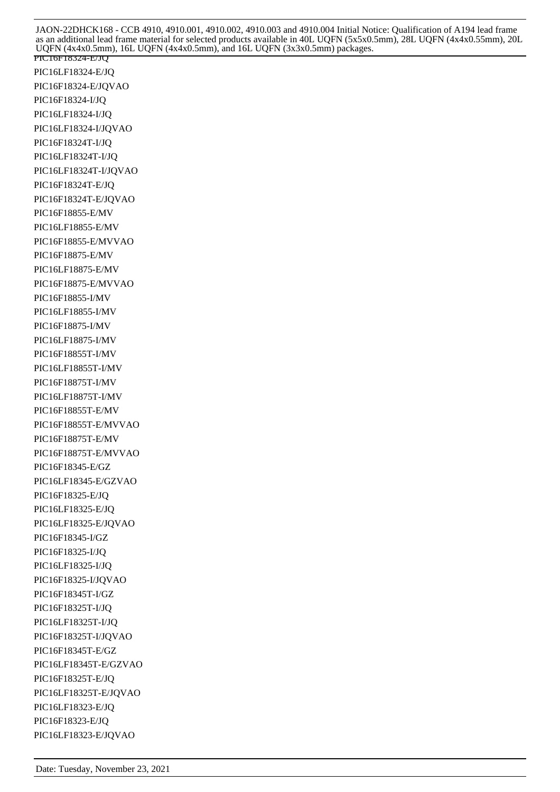PIC16F18324-E/JQ PIC16LF18324-E/JQ PIC16F18324-E/JQVAO PIC16F18324-I/JQ PIC16LF18324-I/JQ PIC16LF18324-I/JQVAO PIC16F18324T-I/JQ PIC16LF18324T-I/JQ PIC16LF18324T-I/JQVAO PIC16F18324T-E/JQ PIC16F18324T-E/JQVAO PIC16F18855-E/MV PIC16LF18855-E/MV PIC16F18855-E/MVVAO PIC16F18875-E/MV PIC16LF18875-E/MV PIC16F18875-E/MVVAO PIC16F18855-I/MV PIC16LF18855-I/MV PIC16F18875-I/MV PIC16LF18875-I/MV PIC16F18855T-I/MV PIC16LF18855T-I/MV PIC16F18875T-I/MV PIC16LF18875T-I/MV PIC16F18855T-E/MV PIC16F18855T-E/MVVAO PIC16F18875T-E/MV PIC16F18875T-E/MVVAO PIC16F18345-E/GZ PIC16LF18345-E/GZVAO PIC16F18325-E/JQ PIC16LF18325-E/JQ PIC16LF18325-E/JQVAO PIC16F18345-I/GZ PIC16F18325-I/JQ PIC16LF18325-I/JQ PIC16F18325-I/JQVAO PIC16F18345T-I/GZ PIC16F18325T-I/JQ PIC16LF18325T-I/JQ PIC16F18325T-I/JQVAO PIC16F18345T-E/GZ PIC16LF18345T-E/GZVAO PIC16F18325T-E/JQ PIC16LF18325T-E/JQVAO PIC16LF18323-E/JQ PIC16F18323-E/JQ PIC16LF18323-E/JQVAO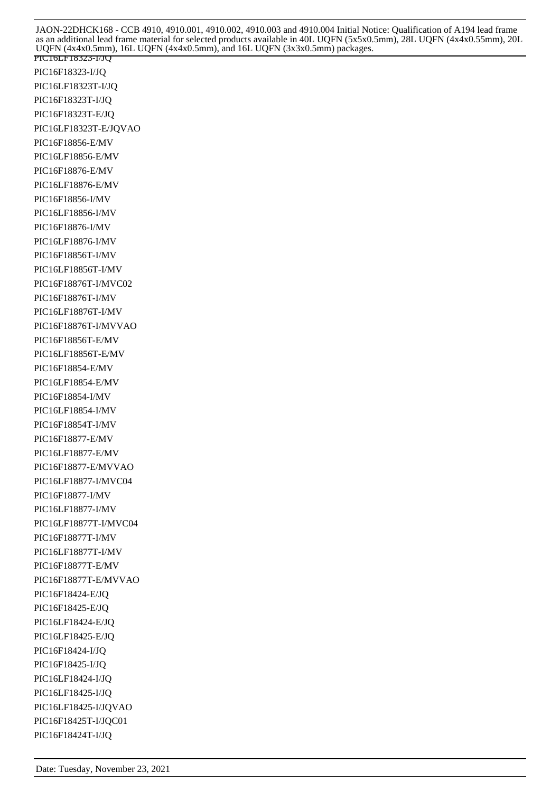PIC16LF18323-I/JQ PIC16F18323-I/JQ PIC16LF18323T-I/JQ PIC16F18323T-I/JQ PIC16F18323T-E/JQ PIC16LF18323T-E/JQVAO PIC16F18856-E/MV PIC16LF18856-E/MV PIC16F18876-E/MV PIC16LF18876-E/MV PIC16F18856-I/MV PIC16LF18856-I/MV PIC16F18876-I/MV PIC16LF18876-I/MV PIC16F18856T-I/MV PIC16LF18856T-I/MV PIC16F18876T-I/MVC02 PIC16F18876T-I/MV PIC16LF18876T-I/MV PIC16F18876T-I/MVVAO PIC16F18856T-E/MV PIC16LF18856T-E/MV PIC16F18854-E/MV PIC16LF18854-E/MV PIC16F18854-I/MV PIC16LF18854-I/MV PIC16F18854T-I/MV PIC16F18877-E/MV PIC16LF18877-E/MV PIC16F18877-E/MVVAO PIC16LF18877-I/MVC04 PIC16F18877-I/MV PIC16LF18877-I/MV PIC16LF18877T-I/MVC04 PIC16F18877T-I/MV PIC16LF18877T-I/MV PIC16F18877T-E/MV PIC16F18877T-E/MVVAO PIC16F18424-E/JQ PIC16F18425-E/JQ PIC16LF18424-E/JQ PIC16LF18425-E/JQ PIC16F18424-I/JQ PIC16F18425-I/JQ PIC16LF18424-I/JQ PIC16LF18425-I/JQ PIC16LF18425-I/JQVAO PIC16F18425T-I/JQC01 PIC16F18424T-I/JQ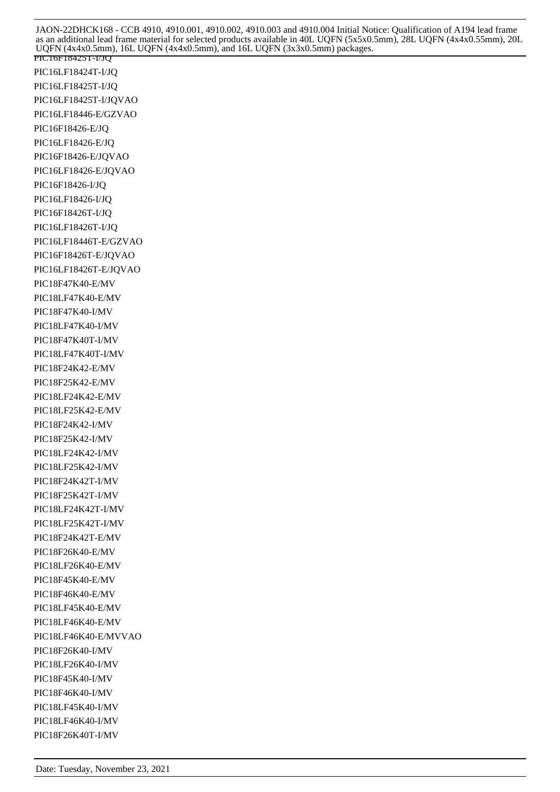PIC16F18425T-I/JQ PIC16LF18424T-I/JQ PIC16LF18425T-I/JQ PIC16LF18425T-I/JQVAO PIC16LF18446-E/GZVAO PIC16F18426-E/JQ PIC16LF18426-E/JQ PIC16F18426-E/JQVAO PIC16LF18426-E/JQVAO PIC16F18426-I/JQ PIC16LF18426-I/JQ PIC16F18426T-I/JQ PIC16LF18426T-I/JQ PIC16LF18446T-E/GZVAO PIC16F18426T-E/JQVAO PIC16LF18426T-E/JQVAO PIC18F47K40-E/MV PIC18LF47K40-E/MV PIC18F47K40-I/MV PIC18LF47K40-I/MV PIC18F47K40T-I/MV PIC18LF47K40T-I/MV PIC18F24K42-E/MV PIC18F25K42-E/MV PIC18LF24K42-E/MV PIC18LF25K42-E/MV PIC18F24K42-I/MV PIC18F25K42-I/MV PIC18LF24K42-I/MV PIC18LF25K42-I/MV PIC18F24K42T-I/MV PIC18F25K42T-I/MV PIC18LF24K42T-I/MV PIC18LF25K42T-I/MV PIC18F24K42T-E/MV PIC18F26K40-E/MV PIC18LF26K40-E/MV PIC18F45K40-E/MV PIC18F46K40-E/MV PIC18LF45K40-E/MV PIC18LF46K40-E/MV PIC18LF46K40-E/MVVAO PIC18F26K40-I/MV PIC18LF26K40-I/MV PIC18F45K40-I/MV PIC18F46K40-I/MV PIC18LF45K40-I/MV PIC18LF46K40-I/MV PIC18F26K40T-I/MV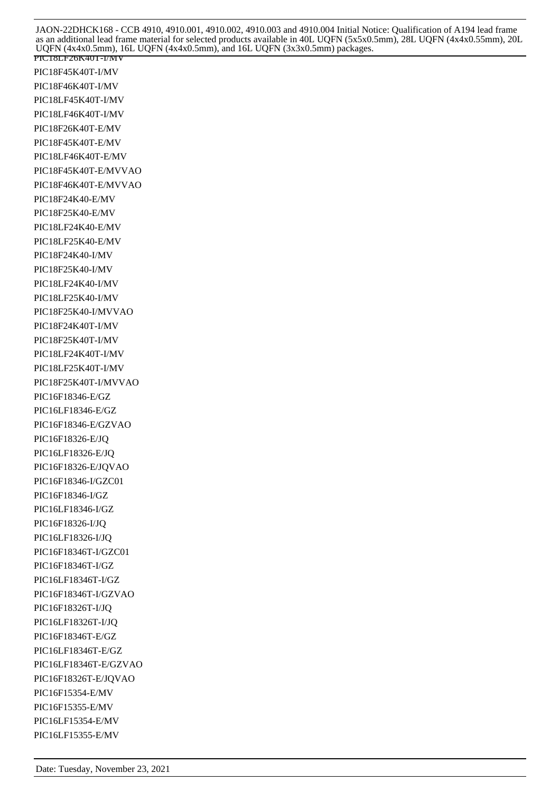PIC18LF26K40T-I/MV PIC18F45K40T-I/MV PIC18F46K40T-I/MV PIC18LF45K40T-I/MV PIC18LF46K40T-I/MV PIC18F26K40T-E/MV PIC18F45K40T-E/MV PIC18LF46K40T-E/MV PIC18F45K40T-E/MVVAO PIC18F46K40T-E/MVVAO PIC18F24K40-E/MV PIC18F25K40-E/MV PIC18LF24K40-E/MV PIC18LF25K40-E/MV PIC18F24K40-I/MV PIC18F25K40-I/MV PIC18LF24K40-I/MV PIC18LF25K40-I/MV PIC18F25K40-I/MVVAO PIC18F24K40T-I/MV PIC18F25K40T-I/MV PIC18LF24K40T-I/MV PIC18LF25K40T-I/MV PIC18F25K40T-I/MVVAO PIC16F18346-E/GZ PIC16LF18346-E/GZ PIC16F18346-E/GZVAO PIC16F18326-E/JQ PIC16LF18326-E/JQ PIC16F18326-E/JQVAO PIC16F18346-I/GZC01 PIC16F18346-I/GZ PIC16LF18346-I/GZ PIC16F18326-I/JQ PIC16LF18326-I/JQ PIC16F18346T-I/GZC01 PIC16F18346T-I/GZ PIC16LF18346T-I/GZ PIC16F18346T-I/GZVAO PIC16F18326T-I/JQ PIC16LF18326T-I/JQ PIC16F18346T-E/GZ PIC16LF18346T-E/GZ PIC16LF18346T-E/GZVAO PIC16F18326T-E/JQVAO PIC16F15354-E/MV PIC16F15355-E/MV PIC16LF15354-E/MV PIC16LF15355-E/MV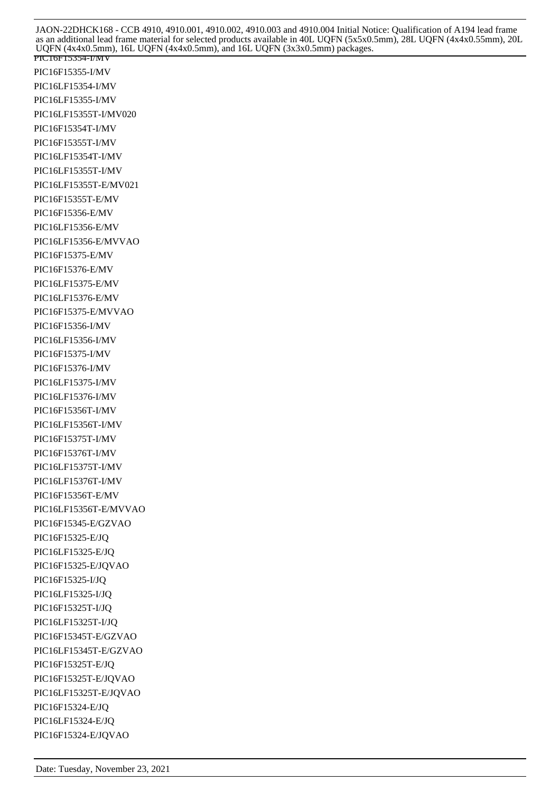PIC16F15354-I/MV PIC16F15355-I/MV PIC16LF15354-I/MV PIC16LF15355-I/MV PIC16LF15355T-I/MV020 PIC16F15354T-I/MV PIC16F15355T-I/MV PIC16LF15354T-I/MV PIC16LF15355T-I/MV PIC16LF15355T-E/MV021 PIC16F15355T-E/MV PIC16F15356-E/MV PIC16LF15356-E/MV PIC16LF15356-E/MVVAO PIC16F15375-E/MV PIC16F15376-E/MV PIC16LF15375-E/MV PIC16LF15376-E/MV PIC16F15375-E/MVVAO PIC16F15356-I/MV PIC16LF15356-I/MV PIC16F15375-I/MV PIC16F15376-I/MV PIC16LF15375-I/MV PIC16LF15376-I/MV PIC16F15356T-I/MV PIC16LF15356T-I/MV PIC16F15375T-I/MV PIC16F15376T-I/MV PIC16LF15375T-I/MV PIC16LF15376T-I/MV PIC16F15356T-E/MV PIC16LF15356T-E/MVVAO PIC16F15345-E/GZVAO PIC16F15325-E/JQ PIC16LF15325-E/JQ PIC16F15325-E/JQVAO PIC16F15325-I/JQ PIC16LF15325-I/JQ PIC16F15325T-I/JQ PIC16LF15325T-I/JQ PIC16F15345T-E/GZVAO PIC16LF15345T-E/GZVAO PIC16F15325T-E/JQ PIC16F15325T-E/JQVAO PIC16LF15325T-E/JQVAO PIC16F15324-E/JQ PIC16LF15324-E/JQ PIC16F15324-E/JQVAO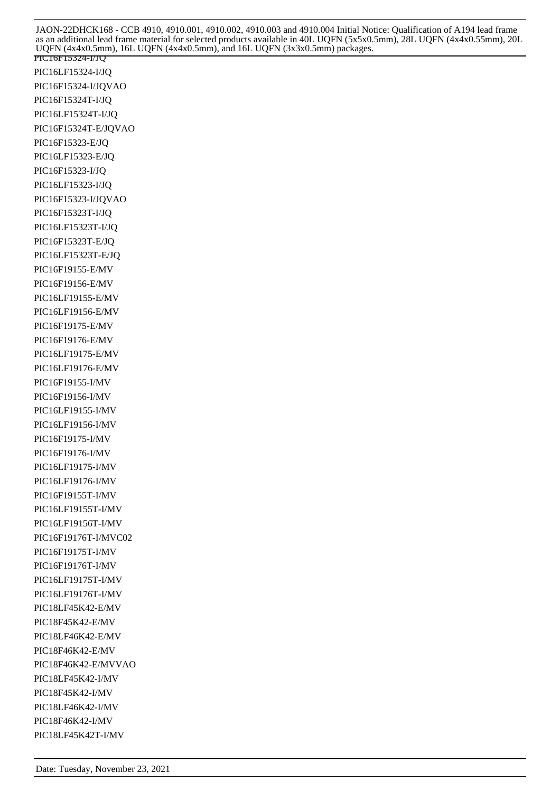PIC16F15324-I/JQ PIC16LF15324-I/JQ PIC16F15324-I/JQVAO PIC16F15324T-I/JQ PIC16LF15324T-I/JQ PIC16F15324T-E/JQVAO PIC16F15323-E/JQ PIC16LF15323-E/JQ PIC16F15323-I/JQ PIC16LF15323-I/JQ PIC16F15323-I/JQVAO PIC16F15323T-I/JQ PIC16LF15323T-I/JQ PIC16F15323T-E/JQ PIC16LF15323T-E/JQ PIC16F19155-E/MV PIC16F19156-E/MV PIC16LF19155-E/MV PIC16LF19156-E/MV PIC16F19175-E/MV PIC16F19176-E/MV PIC16LF19175-E/MV PIC16LF19176-E/MV PIC16F19155-I/MV PIC16F19156-I/MV PIC16LF19155-I/MV PIC16LF19156-I/MV PIC16F19175-I/MV PIC16F19176-I/MV PIC16LF19175-I/MV PIC16LF19176-I/MV PIC16F19155T-I/MV PIC16LF19155T-I/MV PIC16LF19156T-I/MV PIC16F19176T-I/MVC02 PIC16F19175T-I/MV PIC16F19176T-I/MV PIC16LF19175T-I/MV PIC16LF19176T-I/MV PIC18LF45K42-E/MV PIC18F45K42-E/MV PIC18LF46K42-E/MV PIC18F46K42-E/MV PIC18F46K42-E/MVVAO PIC18LF45K42-I/MV PIC18F45K42-I/MV PIC18LF46K42-I/MV PIC18F46K42-I/MV PIC18LF45K42T-I/MV